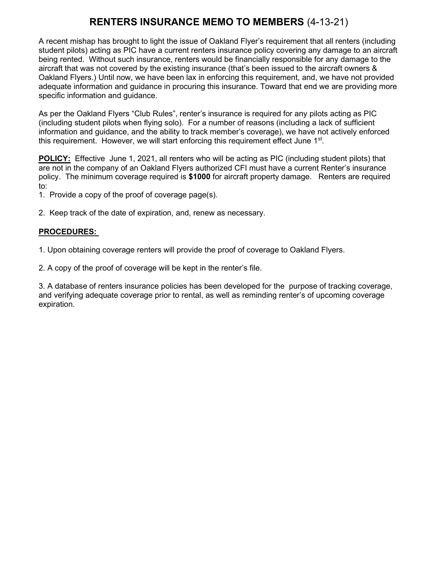# RENTERS INSURANCE MEMO TO MEMBERS (4-13-21)

A recent mishap has brought to light the issue of Oakland Flyer's requirement that all renters (including student pilots) acting as PIC have a current renters insurance policy covering any damage to an aircraft being rented. Without such insurance, renters would be financially responsible for any damage to the aircraft that was not covered by the existing insurance (that's been issued to the aircraft owners & Oakland Flyers.) Until now, we have been lax in enforcing this requirement, and, we have not provided adequate information and guidance in procuring this insurance. Toward that end we are providing more specific information and guidance.

As per the Oakland Flyers "Club Rules", renter's insurance is required for any pilots acting as PIC (including student pilots when flying solo). For a number of reasons (including a lack of sufficient information and guidance, and the ability to track member's coverage), we have not actively enforced this requirement. However, we will start enforcing this requirement effect June 1<sup>st</sup>.

POLICY: Effective June 1, 2021, all renters who will be acting as PIC (including student pilots) that are not in the company of an Oakland Flyers authorized CFI must have a current Renter's insurance policy. The minimum coverage required is \$1000 for aircraft property damage. Renters are required to:

1. Provide a copy of the proof of coverage page(s).

2. Keep track of the date of expiration, and, renew as necessary.

#### PROCEDURES:

1. Upon obtaining coverage renters will provide the proof of coverage to Oakland Flyers.

2. A copy of the proof of coverage will be kept in the renter's file.

3. A database of renters insurance policies has been developed for the purpose of tracking coverage, and verifying adequate coverage prior to rental, as well as reminding renter's of upcoming coverage expiration.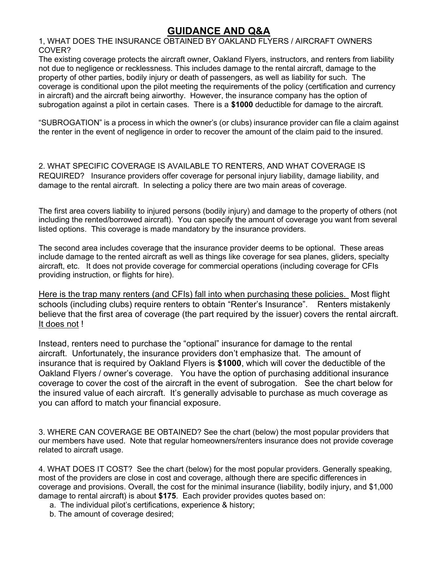# GUIDANCE AND Q&A

1, WHAT DOES THE INSURANCE OBTAINED BY OAKLAND FLYERS / AIRCRAFT OWNERS COVER?

The existing coverage protects the aircraft owner, Oakland Flyers, instructors, and renters from liability not due to negligence or recklessness. This includes damage to the rental aircraft, damage to the property of other parties, bodily injury or death of passengers, as well as liability for such. The coverage is conditional upon the pilot meeting the requirements of the policy (certification and currency in aircraft) and the aircraft being airworthy. However, the insurance company has the option of subrogation against a pilot in certain cases. There is a \$1000 deductible for damage to the aircraft.

"SUBROGATION" is a process in which the owner's (or clubs) insurance provider can file a claim against the renter in the event of negligence in order to recover the amount of the claim paid to the insured.

2. WHAT SPECIFIC COVERAGE IS AVAILABLE TO RENTERS, AND WHAT COVERAGE IS REQUIRED? Insurance providers offer coverage for personal injury liability, damage liability, and damage to the rental aircraft. In selecting a policy there are two main areas of coverage.

The first area covers liability to injured persons (bodily injury) and damage to the property of others (not including the rented/borrowed aircraft). You can specify the amount of coverage you want from several listed options. This coverage is made mandatory by the insurance providers.

The second area includes coverage that the insurance provider deems to be optional. These areas include damage to the rented aircraft as well as things like coverage for sea planes, gliders, specialty aircraft, etc. It does not provide coverage for commercial operations (including coverage for CFIs providing instruction, or flights for hire).

Here is the trap many renters (and CFIs) fall into when purchasing these policies. Most flight schools (including clubs) require renters to obtain "Renter's Insurance". Renters mistakenly believe that the first area of coverage (the part required by the issuer) covers the rental aircraft. It does not !

Instead, renters need to purchase the "optional" insurance for damage to the rental aircraft. Unfortunately, the insurance providers don't emphasize that. The amount of insurance that is required by Oakland Flyers is \$1000, which will cover the deductible of the Oakland Flyers / owner's coverage. You have the option of purchasing additional insurance coverage to cover the cost of the aircraft in the event of subrogation. See the chart below for the insured value of each aircraft. It's generally advisable to purchase as much coverage as you can afford to match your financial exposure.

3. WHERE CAN COVERAGE BE OBTAINED? See the chart (below) the most popular providers that our members have used. Note that regular homeowners/renters insurance does not provide coverage related to aircraft usage.

4. WHAT DOES IT COST? See the chart (below) for the most popular providers. Generally speaking, most of the providers are close in cost and coverage, although there are specific differences in coverage and provisions. Overall, the cost for the minimal insurance (liability, bodily injury, and \$1,000 damage to rental aircraft) is about \$175. Each provider provides quotes based on:

a. The individual pilot's certifications, experience & history;

b. The amount of coverage desired;